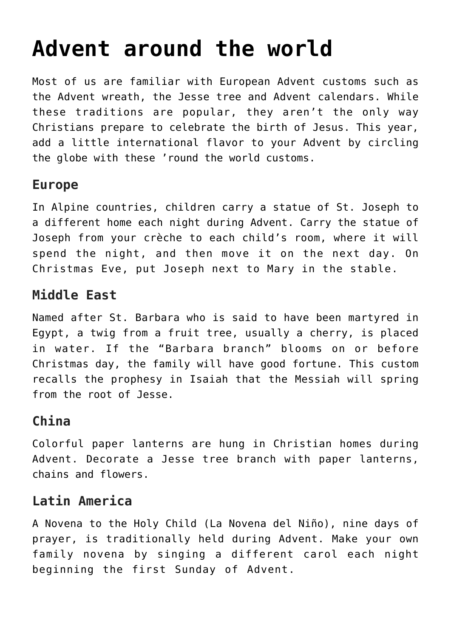# **[Advent around the world](https://www.teachingcatholickids.com/advent-around-the-world/)**

Most of us are familiar with European Advent customs such as the Advent wreath, the Jesse tree and Advent calendars. While these traditions are popular, they aren't the only way Christians prepare to celebrate the birth of Jesus. This year, add a little international flavor to your Advent by circling the globe with these 'round the world customs.

### **Europe**

In Alpine countries, children carry a statue of St. Joseph to a different home each night during Advent. Carry the statue of Joseph from your crèche to each child's room, where it will spend the night, and then move it on the next day. On Christmas Eve, put Joseph next to Mary in the stable.

#### **Middle East**

Named after St. Barbara who is said to have been martyred in Egypt, a twig from a fruit tree, usually a cherry, is placed in water. If the "Barbara branch" blooms on or before Christmas day, the family will have good fortune. This custom recalls the prophesy in Isaiah that the Messiah will spring from the root of Jesse.

## **China**

Colorful paper lanterns are hung in Christian homes during Advent. Decorate a Jesse tree branch with paper lanterns, chains and flowers.

#### **Latin America**

A Novena to the Holy Child (La Novena del Niño), nine days of prayer, is traditionally held during Advent. Make your own family novena by singing a different carol each night beginning the first Sunday of Advent.